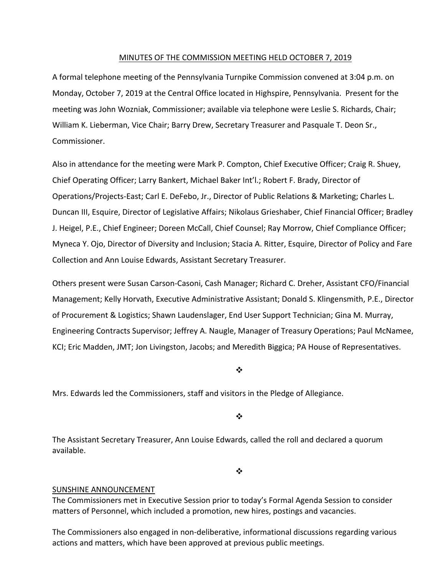#### MINUTES OF THE COMMISSION MEETING HELD OCTOBER 7, 2019

A formal telephone meeting of the Pennsylvania Turnpike Commission convened at 3:04 p.m. on Monday, October 7, 2019 at the Central Office located in Highspire, Pennsylvania. Present for the meeting was John Wozniak, Commissioner; available via telephone were Leslie S. Richards, Chair; William K. Lieberman, Vice Chair; Barry Drew, Secretary Treasurer and Pasquale T. Deon Sr., Commissioner.

Also in attendance for the meeting were Mark P. Compton, Chief Executive Officer; Craig R. Shuey, Chief Operating Officer; Larry Bankert, Michael Baker Int'l.; Robert F. Brady, Director of Operations/Projects‐East; Carl E. DeFebo, Jr., Director of Public Relations & Marketing; Charles L. Duncan III, Esquire, Director of Legislative Affairs; Nikolaus Grieshaber, Chief Financial Officer; Bradley J. Heigel, P.E., Chief Engineer; Doreen McCall, Chief Counsel; Ray Morrow, Chief Compliance Officer; Myneca Y. Ojo, Director of Diversity and Inclusion; Stacia A. Ritter, Esquire, Director of Policy and Fare Collection and Ann Louise Edwards, Assistant Secretary Treasurer.

Others present were Susan Carson‐Casoni, Cash Manager; Richard C. Dreher, Assistant CFO/Financial Management; Kelly Horvath, Executive Administrative Assistant; Donald S. Klingensmith, P.E., Director of Procurement & Logistics; Shawn Laudenslager, End User Support Technician; Gina M. Murray, Engineering Contracts Supervisor; Jeffrey A. Naugle, Manager of Treasury Operations; Paul McNamee, KCI; Eric Madden, JMT; Jon Livingston, Jacobs; and Meredith Biggica; PA House of Representatives.

❖

Mrs. Edwards led the Commissioners, staff and visitors in the Pledge of Allegiance.

❖

The Assistant Secretary Treasurer, Ann Louise Edwards, called the roll and declared a quorum available.

❖

#### SUNSHINE ANNOUNCEMENT

The Commissioners met in Executive Session prior to today's Formal Agenda Session to consider matters of Personnel, which included a promotion, new hires, postings and vacancies.

The Commissioners also engaged in non‐deliberative, informational discussions regarding various actions and matters, which have been approved at previous public meetings.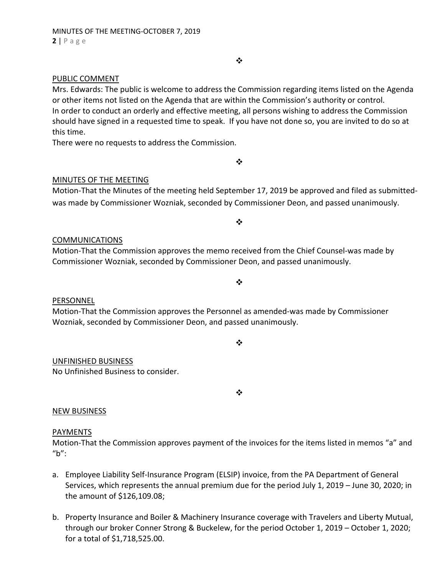#### PUBLIC COMMENT

Mrs. Edwards: The public is welcome to address the Commission regarding items listed on the Agenda or other items not listed on the Agenda that are within the Commission's authority or control. In order to conduct an orderly and effective meeting, all persons wishing to address the Commission should have signed in a requested time to speak. If you have not done so, you are invited to do so at this time.

There were no requests to address the Commission.

### MINUTES OF THE MEETING

Motion‐That the Minutes of the meeting held September 17, 2019 be approved and filed as submitted‐ was made by Commissioner Wozniak, seconded by Commissioner Deon, and passed unanimously.

 $\frac{1}{2}$ 

 $\cdot$ 

#### COMMUNICATIONS

Motion‐That the Commission approves the memo received from the Chief Counsel‐was made by Commissioner Wozniak, seconded by Commissioner Deon, and passed unanimously.

#### PERSONNEL

Motion‐That the Commission approves the Personnel as amended‐was made by Commissioner Wozniak, seconded by Commissioner Deon, and passed unanimously.

 $\frac{1}{2}$ 

 $\bullet^{\bullet}_{\mathbf{a}^{\bullet}}$ 

# UNFINISHED BUSINESS

No Unfinished Business to consider.

❖

# NEW BUSINESS

## PAYMENTS

Motion‐That the Commission approves payment of the invoices for the items listed in memos "a" and "b":

- a. Employee Liability Self‐Insurance Program (ELSIP) invoice, from the PA Department of General Services, which represents the annual premium due for the period July 1, 2019 – June 30, 2020; in the amount of \$126,109.08;
- b. Property Insurance and Boiler & Machinery Insurance coverage with Travelers and Liberty Mutual, through our broker Conner Strong & Buckelew, for the period October 1, 2019 – October 1, 2020; for a total of \$1,718,525.00.

 $\bullet^{\bullet}_{\bullet} \bullet$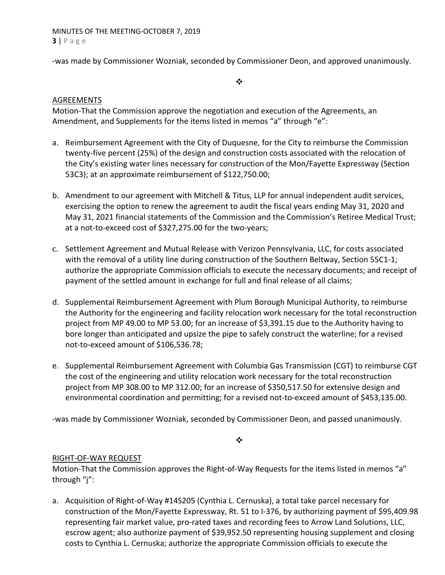MINUTES OF THE MEETING‐OCTOBER 7, 2019 **3** | Page

‐was made by Commissioner Wozniak, seconded by Commissioner Deon, and approved unanimously.

 $\bullet^{\bullet}_{\bullet} \bullet$ 

## AGREEMENTS

Motion‐That the Commission approve the negotiation and execution of the Agreements, an Amendment, and Supplements for the items listed in memos "a" through "e":

- a. Reimbursement Agreement with the City of Duquesne, for the City to reimburse the Commission twenty‐five percent (25%) of the design and construction costs associated with the relocation of the City's existing water lines necessary for construction of the Mon/Fayette Expressway (Section 53C3); at an approximate reimbursement of \$122,750.00;
- b. Amendment to our agreement with Mitchell & Titus, LLP for annual independent audit services, exercising the option to renew the agreement to audit the fiscal years ending May 31, 2020 and May 31, 2021 financial statements of the Commission and the Commission's Retiree Medical Trust; at a not-to-exceed cost of \$327,275.00 for the two-years;
- c. Settlement Agreement and Mutual Release with Verizon Pennsylvania, LLC, for costs associated with the removal of a utility line during construction of the Southern Beltway, Section 55C1-1; authorize the appropriate Commission officials to execute the necessary documents; and receipt of payment of the settled amount in exchange for full and final release of all claims;
- d. Supplemental Reimbursement Agreement with Plum Borough Municipal Authority, to reimburse the Authority for the engineering and facility relocation work necessary for the total reconstruction project from MP 49.00 to MP 53.00; for an increase of \$3,391.15 due to the Authority having to bore longer than anticipated and upsize the pipe to safely construct the waterline; for a revised not‐to‐exceed amount of \$106,536.78;
- e. Supplemental Reimbursement Agreement with Columbia Gas Transmission (CGT) to reimburse CGT the cost of the engineering and utility relocation work necessary for the total reconstruction project from MP 308.00 to MP 312.00; for an increase of \$350,517.50 for extensive design and environmental coordination and permitting; for a revised not‐to‐exceed amount of \$453,135.00.

‐was made by Commissioner Wozniak, seconded by Commissioner Deon, and passed unanimously.

 $\bullet^{\bullet}_{\bullet} \bullet$ 

## RIGHT‐OF‐WAY REQUEST

Motion-That the Commission approves the Right-of-Way Requests for the items listed in memos "a" through "j":

a. Acquisition of Right‐of‐Way #14S205 (Cynthia L. Cernuska), a total take parcel necessary for construction of the Mon/Fayette Expressway, Rt. 51 to I‐376, by authorizing payment of \$95,409.98 representing fair market value, pro‐rated taxes and recording fees to Arrow Land Solutions, LLC, escrow agent; also authorize payment of \$39,952.50 representing housing supplement and closing costs to Cynthia L. Cernuska; authorize the appropriate Commission officials to execute the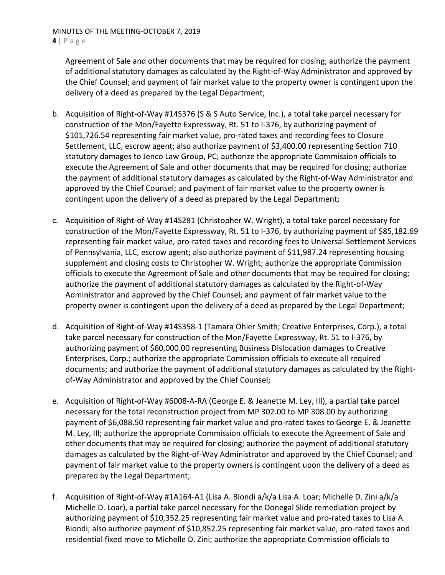Agreement of Sale and other documents that may be required for closing; authorize the payment of additional statutory damages as calculated by the Right‐of‐Way Administrator and approved by the Chief Counsel; and payment of fair market value to the property owner is contingent upon the delivery of a deed as prepared by the Legal Department;

- b. Acquisition of Right‐of‐Way #14S376 (S & S Auto Service, Inc.), a total take parcel necessary for construction of the Mon/Fayette Expressway, Rt. 51 to I‐376, by authorizing payment of \$101,726.54 representing fair market value, pro‐rated taxes and recording fees to Closure Settlement, LLC, escrow agent; also authorize payment of \$3,400.00 representing Section 710 statutory damages to Jenco Law Group, PC; authorize the appropriate Commission officials to execute the Agreement of Sale and other documents that may be required for closing; authorize the payment of additional statutory damages as calculated by the Right‐of‐Way Administrator and approved by the Chief Counsel; and payment of fair market value to the property owner is contingent upon the delivery of a deed as prepared by the Legal Department;
- c. Acquisition of Right‐of‐Way #14S281 (Christopher W. Wright), a total take parcel necessary for construction of the Mon/Fayette Expressway, Rt. 51 to I‐376, by authorizing payment of \$85,182.69 representing fair market value, pro‐rated taxes and recording fees to Universal Settlement Services of Pennsylvania, LLC, escrow agent; also authorize payment of \$11,987.24 representing housing supplement and closing costs to Christopher W. Wright; authorize the appropriate Commission officials to execute the Agreement of Sale and other documents that may be required for closing; authorize the payment of additional statutory damages as calculated by the Right‐of‐Way Administrator and approved by the Chief Counsel; and payment of fair market value to the property owner is contingent upon the delivery of a deed as prepared by the Legal Department;
- d. Acquisition of Right‐of‐Way #14S358‐1 (Tamara Ohler Smith; Creative Enterprises, Corp.), a total take parcel necessary for construction of the Mon/Fayette Expressway, Rt. 51 to I‐376, by authorizing payment of \$60,000.00 representing Business Dislocation damages to Creative Enterprises, Corp.; authorize the appropriate Commission officials to execute all required documents; and authorize the payment of additional statutory damages as calculated by the Right‐ of‐Way Administrator and approved by the Chief Counsel;
- e. Acquisition of Right‐of‐Way #6008‐A‐RA (George E. & Jeanette M. Ley, III), a partial take parcel necessary for the total reconstruction project from MP 302.00 to MP 308.00 by authorizing payment of \$6,088.50 representing fair market value and pro‐rated taxes to George E. & Jeanette M. Ley, III; authorize the appropriate Commission officials to execute the Agreement of Sale and other documents that may be required for closing; authorize the payment of additional statutory damages as calculated by the Right‐of‐Way Administrator and approved by the Chief Counsel; and payment of fair market value to the property owners is contingent upon the delivery of a deed as prepared by the Legal Department;
- f. Acquisition of Right‐of‐Way #1A164‐A1 (Lisa A. Biondi a/k/a Lisa A. Loar; Michelle D. Zini a/k/a Michelle D. Loar), a partial take parcel necessary for the Donegal Slide remediation project by authorizing payment of \$10,352.25 representing fair market value and pro-rated taxes to Lisa A. Biondi; also authorize payment of \$10,852.25 representing fair market value, pro-rated taxes and residential fixed move to Michelle D. Zini; authorize the appropriate Commission officials to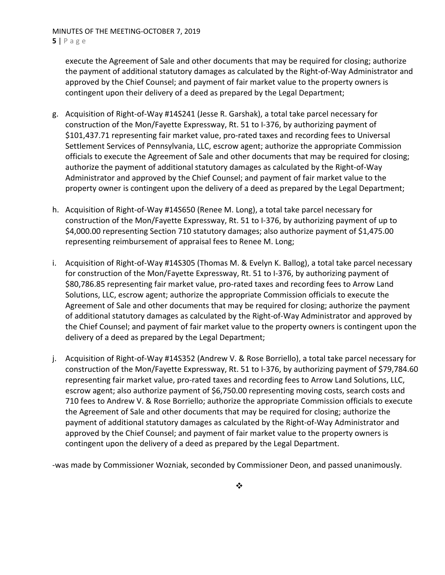execute the Agreement of Sale and other documents that may be required for closing; authorize the payment of additional statutory damages as calculated by the Right‐of‐Way Administrator and approved by the Chief Counsel; and payment of fair market value to the property owners is contingent upon their delivery of a deed as prepared by the Legal Department;

- g. Acquisition of Right‐of‐Way #14S241 (Jesse R. Garshak), a total take parcel necessary for construction of the Mon/Fayette Expressway, Rt. 51 to I‐376, by authorizing payment of \$101,437.71 representing fair market value, pro‐rated taxes and recording fees to Universal Settlement Services of Pennsylvania, LLC, escrow agent; authorize the appropriate Commission officials to execute the Agreement of Sale and other documents that may be required for closing; authorize the payment of additional statutory damages as calculated by the Right‐of‐Way Administrator and approved by the Chief Counsel; and payment of fair market value to the property owner is contingent upon the delivery of a deed as prepared by the Legal Department;
- h. Acquisition of Right‐of‐Way #14S650 (Renee M. Long), a total take parcel necessary for construction of the Mon/Fayette Expressway, Rt. 51 to I‐376, by authorizing payment of up to \$4,000.00 representing Section 710 statutory damages; also authorize payment of \$1,475.00 representing reimbursement of appraisal fees to Renee M. Long;
- i. Acquisition of Right‐of‐Way #14S305 (Thomas M. & Evelyn K. Ballog), a total take parcel necessary for construction of the Mon/Fayette Expressway, Rt. 51 to I‐376, by authorizing payment of \$80,786.85 representing fair market value, pro‐rated taxes and recording fees to Arrow Land Solutions, LLC, escrow agent; authorize the appropriate Commission officials to execute the Agreement of Sale and other documents that may be required for closing; authorize the payment of additional statutory damages as calculated by the Right‐of‐Way Administrator and approved by the Chief Counsel; and payment of fair market value to the property owners is contingent upon the delivery of a deed as prepared by the Legal Department;
- j. Acquisition of Right‐of‐Way #14S352 (Andrew V. & Rose Borriello), a total take parcel necessary for construction of the Mon/Fayette Expressway, Rt. 51 to I‐376, by authorizing payment of \$79,784.60 representing fair market value, pro-rated taxes and recording fees to Arrow Land Solutions, LLC, escrow agent; also authorize payment of \$6,750.00 representing moving costs, search costs and 710 fees to Andrew V. & Rose Borriello; authorize the appropriate Commission officials to execute the Agreement of Sale and other documents that may be required for closing; authorize the payment of additional statutory damages as calculated by the Right‐of‐Way Administrator and approved by the Chief Counsel; and payment of fair market value to the property owners is contingent upon the delivery of a deed as prepared by the Legal Department.

‐was made by Commissioner Wozniak, seconded by Commissioner Deon, and passed unanimously.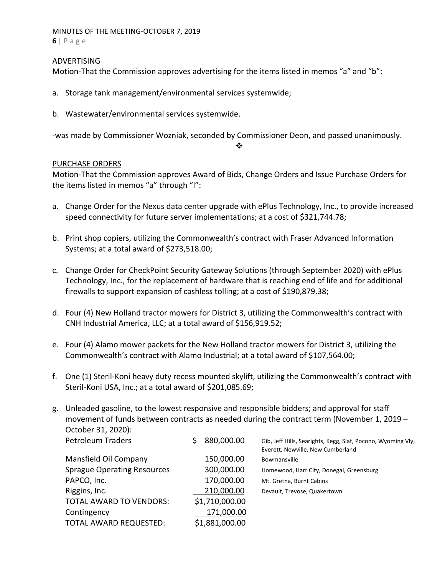## MINUTES OF THE MEETING‐OCTOBER 7, 2019

**6** | Page

### ADVERTISING

Motion-That the Commission approves advertising for the items listed in memos "a" and "b":

- a. Storage tank management/environmental services systemwide;
- b. Wastewater/environmental services systemwide.

‐was made by Commissioner Wozniak, seconded by Commissioner Deon, and passed unanimously.

❖

## PURCHASE ORDERS

Motion‐That the Commission approves Award of Bids, Change Orders and Issue Purchase Orders for the items listed in memos "a" through "l":

- a. Change Order for the Nexus data center upgrade with ePlus Technology, Inc., to provide increased speed connectivity for future server implementations; at a cost of \$321,744.78;
- b. Print shop copiers, utilizing the Commonwealth's contract with Fraser Advanced Information Systems; at a total award of \$273,518.00;
- c. Change Order for CheckPoint Security Gateway Solutions (through September 2020) with ePlus Technology, Inc., for the replacement of hardware that is reaching end of life and for additional firewalls to support expansion of cashless tolling; at a cost of \$190,879.38;
- d. Four (4) New Holland tractor mowers for District 3, utilizing the Commonwealth's contract with CNH Industrial America, LLC; at a total award of \$156,919.52;
- e. Four (4) Alamo mower packets for the New Holland tractor mowers for District 3, utilizing the Commonwealth's contract with Alamo Industrial; at a total award of \$107,564.00;
- f. One (1) Steril‐Koni heavy duty recess mounted skylift, utilizing the Commonwealth's contract with Steril‐Koni USA, Inc.; at a total award of \$201,085.69;

| g. | Unleaded gasoline, to the lowest responsive and responsible bidders; and approval for staff<br>movement of funds between contracts as needed during the contract term (November 1, 2019 – |  |                |                                                                                                   |  |  |
|----|-------------------------------------------------------------------------------------------------------------------------------------------------------------------------------------------|--|----------------|---------------------------------------------------------------------------------------------------|--|--|
|    | October 31, 2020):                                                                                                                                                                        |  |                |                                                                                                   |  |  |
|    | <b>Petroleum Traders</b>                                                                                                                                                                  |  | 880,000.00     | Gib, Jeff Hills, Searights, Kegg, Slat, Pocono, Wyoming Vly,<br>Everett, Newville, New Cumberland |  |  |
|    | Mansfield Oil Company                                                                                                                                                                     |  | 150,000.00     | Bowmansville                                                                                      |  |  |
|    | <b>Sprague Operating Resources</b>                                                                                                                                                        |  | 300,000.00     | Homewood, Harr City, Donegal, Greensburg                                                          |  |  |
|    | PAPCO, Inc.                                                                                                                                                                               |  | 170,000.00     | Mt. Gretna, Burnt Cabins                                                                          |  |  |
|    | Riggins, Inc.                                                                                                                                                                             |  | 210,000.00     | Devault, Trevose, Quakertown                                                                      |  |  |
|    | TOTAL AWARD TO VENDORS:                                                                                                                                                                   |  | \$1,710,000.00 |                                                                                                   |  |  |
|    | Contingency                                                                                                                                                                               |  | 171,000.00     |                                                                                                   |  |  |
|    | TOTAL AWARD REQUESTED:                                                                                                                                                                    |  | \$1,881,000.00 |                                                                                                   |  |  |
|    |                                                                                                                                                                                           |  |                |                                                                                                   |  |  |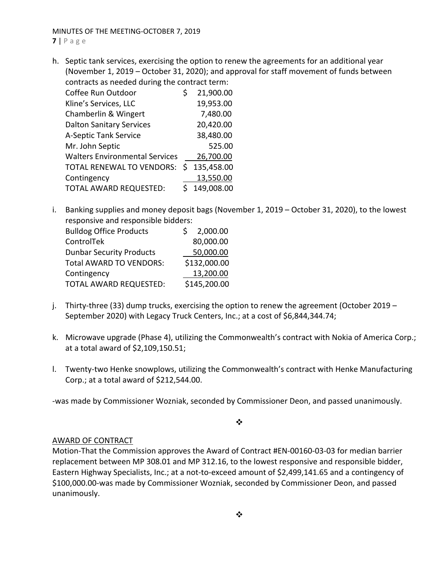**7** | Page

h. Septic tank services, exercising the option to renew the agreements for an additional year (November 1, 2019 – October 31, 2020); and approval for staff movement of funds between contracts as needed during the contract term:

| Coffee Run Outdoor                    | S | 21,900.00  |
|---------------------------------------|---|------------|
| Kline's Services, LLC                 |   | 19,953.00  |
| Chamberlin & Wingert                  |   | 7,480.00   |
| <b>Dalton Sanitary Services</b>       |   | 20,420.00  |
| A-Septic Tank Service                 |   | 38,480.00  |
| Mr. John Septic                       |   | 525.00     |
| <b>Walters Environmental Services</b> |   | 26,700.00  |
| TOTAL RENEWAL TO VENDORS:             | S | 135,458.00 |
| Contingency                           |   | 13,550.00  |
| TOTAL AWARD REQUESTED:                |   | 149,008.00 |

i. Banking supplies and money deposit bags (November 1, 2019 – October 31, 2020), to the lowest responsive and responsible bidders:

| <b>Bulldog Office Products</b>  | 2,000.00     |
|---------------------------------|--------------|
| ControlTek                      | 80,000.00    |
| <b>Dunbar Security Products</b> | 50,000.00    |
| <b>Total AWARD TO VENDORS:</b>  | \$132,000.00 |
| Contingency                     | 13,200.00    |
| <b>TOTAL AWARD REQUESTED:</b>   | \$145,200.00 |

- j. Thirty-three (33) dump trucks, exercising the option to renew the agreement (October 2019 September 2020) with Legacy Truck Centers, Inc.; at a cost of \$6,844,344.74;
- k. Microwave upgrade (Phase 4), utilizing the Commonwealth's contract with Nokia of America Corp.; at a total award of \$2,109,150.51;
- l. Twenty‐two Henke snowplows, utilizing the Commonwealth's contract with Henke Manufacturing Corp.; at a total award of \$212,544.00.

‐was made by Commissioner Wozniak, seconded by Commissioner Deon, and passed unanimously.

 $\bullet^{\bullet}_{\bullet} \bullet$ 

## AWARD OF CONTRACT

Motion‐That the Commission approves the Award of Contract #EN‐00160‐03‐03 for median barrier replacement between MP 308.01 and MP 312.16, to the lowest responsive and responsible bidder, Eastern Highway Specialists, Inc.; at a not‐to‐exceed amount of \$2,499,141.65 and a contingency of \$100,000.00‐was made by Commissioner Wozniak, seconded by Commissioner Deon, and passed unanimously.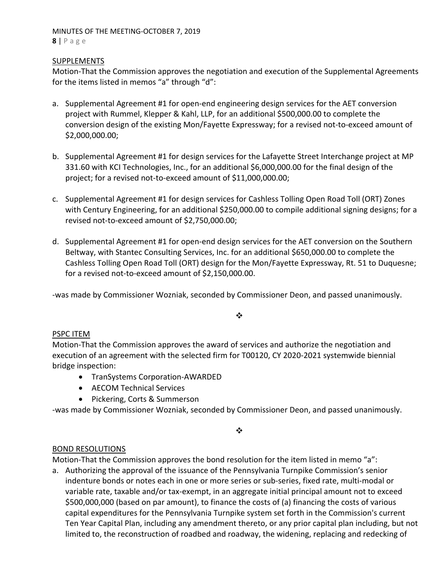#### MINUTES OF THE MEETING‐OCTOBER 7, 2019 **8** | Page

### SUPPLEMENTS

Motion‐That the Commission approves the negotiation and execution of the Supplemental Agreements for the items listed in memos "a" through "d":

- a. Supplemental Agreement #1 for open‐end engineering design services for the AET conversion project with Rummel, Klepper & Kahl, LLP, for an additional \$500,000.00 to complete the conversion design of the existing Mon/Fayette Expressway; for a revised not‐to‐exceed amount of \$2,000,000.00;
- b. Supplemental Agreement #1 for design services for the Lafayette Street Interchange project at MP 331.60 with KCI Technologies, Inc., for an additional \$6,000,000.00 for the final design of the project; for a revised not‐to‐exceed amount of \$11,000,000.00;
- c. Supplemental Agreement #1 for design services for Cashless Tolling Open Road Toll (ORT) Zones with Century Engineering, for an additional \$250,000.00 to compile additional signing designs; for a revised not‐to‐exceed amount of \$2,750,000.00;
- d. Supplemental Agreement #1 for open‐end design services for the AET conversion on the Southern Beltway, with Stantec Consulting Services, Inc. for an additional \$650,000.00 to complete the Cashless Tolling Open Road Toll (ORT) design for the Mon/Fayette Expressway, Rt. 51 to Duquesne; for a revised not-to-exceed amount of \$2,150,000.00.

‐was made by Commissioner Wozniak, seconded by Commissioner Deon, and passed unanimously.

❖

## PSPC ITEM

Motion‐That the Commission approves the award of services and authorize the negotiation and execution of an agreement with the selected firm for T00120, CY 2020‐2021 systemwide biennial bridge inspection:

- TranSystems Corporation-AWARDED
- AECOM Technical Services
- Pickering, Corts & Summerson

‐was made by Commissioner Wozniak, seconded by Commissioner Deon, and passed unanimously.

❖

## BOND RESOLUTIONS

Motion-That the Commission approves the bond resolution for the item listed in memo "a":

a. Authorizing the approval of the issuance of the Pennsylvania Turnpike Commission's senior indenture bonds or notes each in one or more series or sub‐series, fixed rate, multi‐modal or variable rate, taxable and/or tax‐exempt, in an aggregate initial principal amount not to exceed \$500,000,000 (based on par amount), to finance the costs of (a) financing the costs of various capital expenditures for the Pennsylvania Turnpike system set forth in the Commission's current Ten Year Capital Plan, including any amendment thereto, or any prior capital plan including, but not limited to, the reconstruction of roadbed and roadway, the widening, replacing and redecking of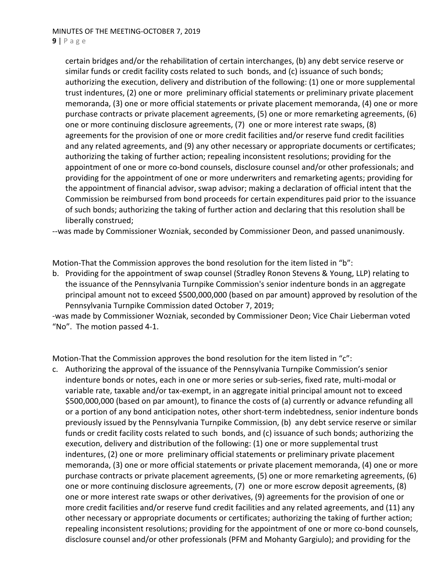#### **9** | Page

certain bridges and/or the rehabilitation of certain interchanges, (b) any debt service reserve or similar funds or credit facility costs related to such bonds, and (c) issuance of such bonds; authorizing the execution, delivery and distribution of the following: (1) one or more supplemental trust indentures, (2) one or more preliminary official statements or preliminary private placement memoranda, (3) one or more official statements or private placement memoranda, (4) one or more purchase contracts or private placement agreements, (5) one or more remarketing agreements, (6) one or more continuing disclosure agreements, (7) one or more interest rate swaps, (8) agreements for the provision of one or more credit facilities and/or reserve fund credit facilities and any related agreements, and (9) any other necessary or appropriate documents or certificates; authorizing the taking of further action; repealing inconsistent resolutions; providing for the appointment of one or more co-bond counsels, disclosure counsel and/or other professionals; and providing for the appointment of one or more underwriters and remarketing agents; providing for the appointment of financial advisor, swap advisor; making a declaration of official intent that the Commission be reimbursed from bond proceeds for certain expenditures paid prior to the issuance of such bonds; authorizing the taking of further action and declaring that this resolution shall be liberally construed;

‐‐was made by Commissioner Wozniak, seconded by Commissioner Deon, and passed unanimously.

Motion-That the Commission approves the bond resolution for the item listed in "b":

b. Providing for the appointment of swap counsel (Stradley Ronon Stevens & Young, LLP) relating to the issuance of the Pennsylvania Turnpike Commission's senior indenture bonds in an aggregate principal amount not to exceed \$500,000,000 (based on par amount) approved by resolution of the Pennsylvania Turnpike Commission dated October 7, 2019;

‐was made by Commissioner Wozniak, seconded by Commissioner Deon; Vice Chair Lieberman voted "No". The motion passed 4‐1.

Motion-That the Commission approves the bond resolution for the item listed in "c":

c. Authorizing the approval of the issuance of the Pennsylvania Turnpike Commission's senior indenture bonds or notes, each in one or more series or sub‐series, fixed rate, multi‐modal or variable rate, taxable and/or tax‐exempt, in an aggregate initial principal amount not to exceed \$500,000,000 (based on par amount), to finance the costs of (a) currently or advance refunding all or a portion of any bond anticipation notes, other short-term indebtedness, senior indenture bonds previously issued by the Pennsylvania Turnpike Commission, (b) any debt service reserve or similar funds or credit facility costs related to such bonds, and (c) issuance of such bonds; authorizing the execution, delivery and distribution of the following: (1) one or more supplemental trust indentures, (2) one or more preliminary official statements or preliminary private placement memoranda, (3) one or more official statements or private placement memoranda, (4) one or more purchase contracts or private placement agreements, (5) one or more remarketing agreements, (6) one or more continuing disclosure agreements, (7) one or more escrow deposit agreements, (8) one or more interest rate swaps or other derivatives, (9) agreements for the provision of one or more credit facilities and/or reserve fund credit facilities and any related agreements, and (11) any other necessary or appropriate documents or certificates; authorizing the taking of further action; repealing inconsistent resolutions; providing for the appointment of one or more co-bond counsels, disclosure counsel and/or other professionals (PFM and Mohanty Gargiulo); and providing for the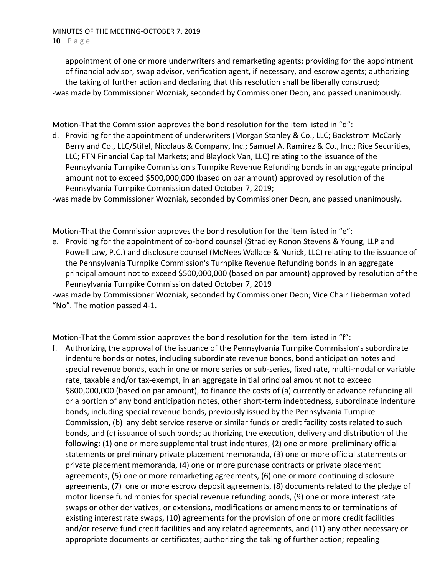appointment of one or more underwriters and remarketing agents; providing for the appointment of financial advisor, swap advisor, verification agent, if necessary, and escrow agents; authorizing the taking of further action and declaring that this resolution shall be liberally construed; ‐was made by Commissioner Wozniak, seconded by Commissioner Deon, and passed unanimously.

Motion-That the Commission approves the bond resolution for the item listed in "d":

d. Providing for the appointment of underwriters (Morgan Stanley & Co., LLC; Backstrom McCarly Berry and Co., LLC/Stifel, Nicolaus & Company, Inc.; Samuel A. Ramirez & Co., Inc.; Rice Securities, LLC; FTN Financial Capital Markets; and Blaylock Van, LLC) relating to the issuance of the Pennsylvania Turnpike Commission's Turnpike Revenue Refunding bonds in an aggregate principal amount not to exceed \$500,000,000 (based on par amount) approved by resolution of the Pennsylvania Turnpike Commission dated October 7, 2019;

‐was made by Commissioner Wozniak, seconded by Commissioner Deon, and passed unanimously.

Motion-That the Commission approves the bond resolution for the item listed in "e":

e. Providing for the appointment of co-bond counsel (Stradley Ronon Stevens & Young, LLP and Powell Law, P.C.) and disclosure counsel (McNees Wallace & Nurick, LLC) relating to the issuance of the Pennsylvania Turnpike Commission's Turnpike Revenue Refunding bonds in an aggregate principal amount not to exceed \$500,000,000 (based on par amount) approved by resolution of the Pennsylvania Turnpike Commission dated October 7, 2019

‐was made by Commissioner Wozniak, seconded by Commissioner Deon; Vice Chair Lieberman voted "No". The motion passed 4‐1.

Motion-That the Commission approves the bond resolution for the item listed in "f":

f. Authorizing the approval of the issuance of the Pennsylvania Turnpike Commission's subordinate indenture bonds or notes, including subordinate revenue bonds, bond anticipation notes and special revenue bonds, each in one or more series or sub‐series, fixed rate, multi‐modal or variable rate, taxable and/or tax‐exempt, in an aggregate initial principal amount not to exceed \$800,000,000 (based on par amount), to finance the costs of (a) currently or advance refunding all or a portion of any bond anticipation notes, other short-term indebtedness, subordinate indenture bonds, including special revenue bonds, previously issued by the Pennsylvania Turnpike Commission, (b) any debt service reserve or similar funds or credit facility costs related to such bonds, and (c) issuance of such bonds; authorizing the execution, delivery and distribution of the following: (1) one or more supplemental trust indentures, (2) one or more preliminary official statements or preliminary private placement memoranda, (3) one or more official statements or private placement memoranda, (4) one or more purchase contracts or private placement agreements, (5) one or more remarketing agreements, (6) one or more continuing disclosure agreements, (7) one or more escrow deposit agreements, (8) documents related to the pledge of motor license fund monies for special revenue refunding bonds, (9) one or more interest rate swaps or other derivatives, or extensions, modifications or amendments to or terminations of existing interest rate swaps, (10) agreements for the provision of one or more credit facilities and/or reserve fund credit facilities and any related agreements, and (11) any other necessary or appropriate documents or certificates; authorizing the taking of further action; repealing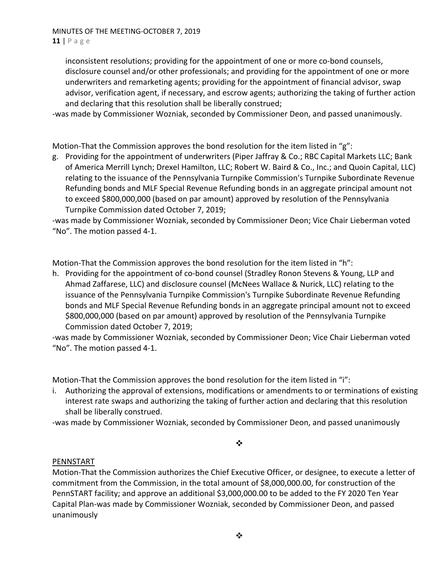#### MINUTES OF THE MEETING‐OCTOBER 7, 2019 **11** | Page

inconsistent resolutions; providing for the appointment of one or more co-bond counsels, disclosure counsel and/or other professionals; and providing for the appointment of one or more underwriters and remarketing agents; providing for the appointment of financial advisor, swap advisor, verification agent, if necessary, and escrow agents; authorizing the taking of further action and declaring that this resolution shall be liberally construed;

‐was made by Commissioner Wozniak, seconded by Commissioner Deon, and passed unanimously.

Motion-That the Commission approves the bond resolution for the item listed in " $g$ ":

g. Providing for the appointment of underwriters (Piper Jaffray & Co.; RBC Capital Markets LLC; Bank of America Merrill Lynch; Drexel Hamilton, LLC; Robert W. Baird & Co., Inc.; and Quoin Capital, LLC) relating to the issuance of the Pennsylvania Turnpike Commission's Turnpike Subordinate Revenue Refunding bonds and MLF Special Revenue Refunding bonds in an aggregate principal amount not to exceed \$800,000,000 (based on par amount) approved by resolution of the Pennsylvania Turnpike Commission dated October 7, 2019;

‐was made by Commissioner Wozniak, seconded by Commissioner Deon; Vice Chair Lieberman voted "No". The motion passed 4‐1.

Motion-That the Commission approves the bond resolution for the item listed in "h":

h. Providing for the appointment of co-bond counsel (Stradley Ronon Stevens & Young, LLP and Ahmad Zaffarese, LLC) and disclosure counsel (McNees Wallace & Nurick, LLC) relating to the issuance of the Pennsylvania Turnpike Commission's Turnpike Subordinate Revenue Refunding bonds and MLF Special Revenue Refunding bonds in an aggregate principal amount not to exceed \$800,000,000 (based on par amount) approved by resolution of the Pennsylvania Turnpike Commission dated October 7, 2019;

‐was made by Commissioner Wozniak, seconded by Commissioner Deon; Vice Chair Lieberman voted "No". The motion passed 4‐1.

Motion-That the Commission approves the bond resolution for the item listed in "i":

i. Authorizing the approval of extensions, modifications or amendments to or terminations of existing interest rate swaps and authorizing the taking of further action and declaring that this resolution shall be liberally construed.

‐was made by Commissioner Wozniak, seconded by Commissioner Deon, and passed unanimously

## $\ddot{\bullet}$

## PENNSTART

Motion‐That the Commission authorizes the Chief Executive Officer, or designee, to execute a letter of commitment from the Commission, in the total amount of \$8,000,000.00, for construction of the PennSTART facility; and approve an additional \$3,000,000.00 to be added to the FY 2020 Ten Year Capital Plan‐was made by Commissioner Wozniak, seconded by Commissioner Deon, and passed unanimously